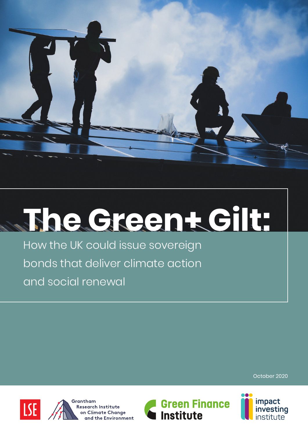

# **The Green+ Gilt:**

How the UK could issue sovereign bonds that deliver climate action and social renewal

October 2020







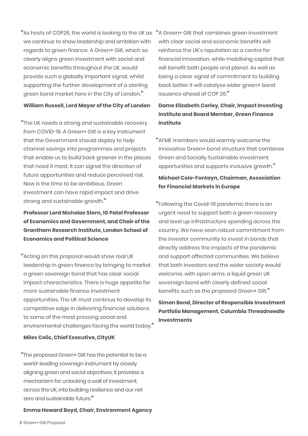"As hosts of COP26, the world is looking to the UK as we continue to show leadership and ambition with regards to green finance. A Green+ Gilt, which so clearly aligns green investment with social and economic benefits throughout the UK, would provide such a globally important signal, whilst supporting the further development of a sterling green bond market here in the City of London."

#### **William Russell, Lord Mayor of the City of London**

"The UK needs a strong and sustainable recovery from COVID-19. A Green+ Gilt is a key instrument that the Government should deploy to help channel savings into programmes and projects that enable us to build back greener in the places that need it most. It can signal the direction of future opportunities and reduce perceived risk. Now is the time to be ambitious. Green investment can have rapid impact and drive strong and sustainable growth."

#### **Professor Lord Nicholas Stern, IG Patel Professor of Economics and Government, and Chair of the Grantham Research Institute, London School of Economics and Political Science**

"Acting on this proposal would show real UK leadership in green finance by bringing to market a green sovereign bond that has clear social impact characteristics. There is huge appetite for more sustainable finance investment opportunities. The UK must continue to develop its competitive edge in delivering financial solutions to some of the most pressing social and environmental challenges facing the world today."

#### **Miles Celic, Chief Executive, CityUK**

"The proposed Green+ Gilt has the potential to be a world-leading sovereign instrument by closely aligning green and social objectives. It provides a mechanism for unlocking a wall of investment, across the UK, into building resilience and our net zero and sustainable future."

#### **Emma Howard Boyd, Chair, Environment Agency**

"A Green+ Gilt that combines green investment with clear social and economic benefits will reinforce the UK's reputation as a centre for financial innovation, while mobilising capital that will benefit both people and planet. As well as being a clear signal of commitment to building back better it will catalyse wider green+ bond issuance ahead of COP 26."

#### **Dame Elizabeth Corley, Chair, Impact Investing Institute and Board Member, Green Finance Institute**

"AFME members would warmly welcome the innovative Green+ bond structure that combines Green and Socially Sustainable investment opportunities and supports inclusive growth."

#### **Michael Cole-Fontayn, Chairman, Association for Financial Markets in Europe**

"Following the Covid-19 pandemic there is an urgent need to support both a green recovery and level up infrastructure spending across the country. We have seen robust commitment from the investor community to invest in bonds that directly address the impacts of the pandemic and support affected communities. We believe that both investors and the wider society would welcome, with open arms, a liquid green UK sovereign bond with clearly defined social benefits such as the proposed Green+ Gilt."

#### **Simon Bond, Director of Responsible Investment Portfolio Management, Columbia Threadneedle Investments**

**2** Green+ Gilt Proposal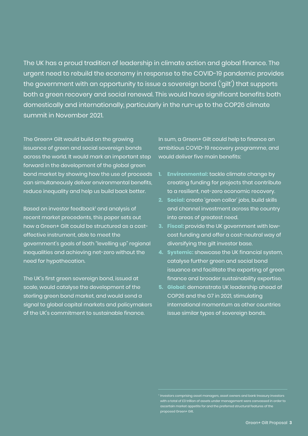The UK has a proud tradition of leadership in climate action and global finance. The urgent need to rebuild the economy in response to the COVID-19 pandemic provides the government with an opportunity to issue a sovereign bond ('gilt') that supports both a green recovery and social renewal. This would have significant benefits both domestically and internationally, particularly in the run-up to the COP26 climate summit in November 2021.

The Green+ Gilt would build on the growing issuance of green and social sovereign bonds across the world. It would mark an important step forward in the development of the global green bond market by showing how the use of proceeds can simultaneously deliver environmental benefits, reduce inequality and help us build back better.

Based on investor feedback<sup>1</sup> and analysis of recent market precedents, this paper sets out how a Green+ Gilt could be structured as a costeffective instrument, able to meet the government's goals of both "levelling up" regional inequalities and achieving net-zero without the need for hypothecation.

The UK's first green sovereign bond, issued at scale, would catalyse the development of the sterling green bond market, and would send a signal to global capital markets and policymakers of the UK's commitment to sustainable finance.

In sum, a Green+ Gilt could help to finance an ambitious COVID-19 recovery programme, and would deliver five main benefits:

- **1. Environmental:** tackle climate change by creating funding for projects that contribute to a resilient, net-zero economic recovery.
- **2. Social:** create 'green collar' jobs, build skills and channel investment across the country into areas of greatest need.
- **3. Fiscal:** provide the UK government with lowcost funding and offer a cost-neutral way of diversifying the gilt investor base.
- **4. Systemic:** showcase the UK financial system, catalyse further green and social bond issuance and facilitate the exporting of green finance and broader sustainability expertise.
- **5. Global:** demonstrate UK leadership ahead of COP26 and the G7 in 2021, stimulating international momentum as other countries issue similar types of sovereign bonds.

 $^{\rm 1}$  Investors comprising asset managers, asset owners and bank treasury investors with a total of £3 trillion of assets under management were canvassed in order to ascertain market appetite for and the preferred structural features of the proposed Green+ Gilt.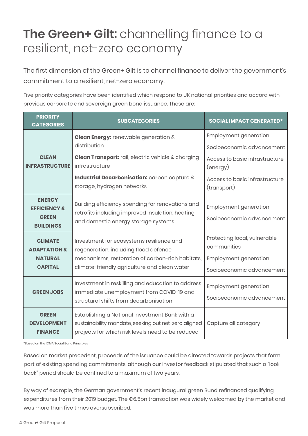### **The Green+ Gilt:** channelling finance to a resilient, net-zero economy

The first dimension of the Green+ Gilt is to channel finance to deliver the government's commitment to a resilient, net-zero economy.

Five priority categories have been identified which respond to UK national priorities and accord with previous corporate and sovereign green bond issuance. These are:

| <b>PRIORITY</b><br><b>CATEGORIES</b>                                         | <b>SUBCATEGORIES</b>                                                                                                                                                                  | <b>SOCIAL IMPACT GENERATED*</b>                                                                          |
|------------------------------------------------------------------------------|---------------------------------------------------------------------------------------------------------------------------------------------------------------------------------------|----------------------------------------------------------------------------------------------------------|
|                                                                              | Clean Energy: renewable generation &<br>distribution                                                                                                                                  | <b>Employment generation</b><br>Socioeconomic advancement                                                |
| <b>CLEAN</b><br><b>INFRASTRUCTURE</b>                                        | Clean Transport: rail, electric vehicle & charging<br>infrastructure                                                                                                                  | Access to basic infrastructure<br>(energy)                                                               |
|                                                                              | Industrial Decarbonisation: carbon capture &<br>storage, hydrogen networks                                                                                                            | Access to basic infrastructure<br>(transport)                                                            |
| <b>ENERGY</b><br><b>EFFICIENCY &amp;</b><br><b>GREEN</b><br><b>BUILDINGS</b> | Building efficiency spending for renovations and<br>retrofits including improved insulation, heating<br>and domestic energy storage systems                                           | <b>Employment generation</b><br>Socioeconomic advancement                                                |
| <b>CLIMATE</b><br>ΑDΑΡΤΑΤΙΟΝ &<br><b>NATURAL</b><br><b>CAPITAL</b>           | Investment for ecosystems resilience and<br>regeneration, including flood defence<br>mechanisms, restoration of carbon-rich habitats,<br>climate-friendly agriculture and clean water | Protecting local, vulnerable<br>communities<br><b>Employment generation</b><br>Socioeconomic advancement |
| <b>GREEN JOBS</b>                                                            | Investment in reskilling and education to address<br>immediate unemployment from COVID-19 and<br>structural shifts from decarbonisation                                               | <b>Employment generation</b><br>Socioeconomic advancement                                                |
| <b>GREEN</b><br><b>DEVELOPMENT</b><br><b>FINANCE</b>                         | Establishing a National Investment Bank with a<br>sustainability mandate, seeking out net-zero aligned<br>projects for which risk levels need to be reduced                           | Capture all category                                                                                     |

\*Based on the ICMA Social Bond Principles

Based on market precedent, proceeds of the issuance could be directed towards projects that form part of existing spending commitments, although our investor feedback stipulated that such a "look back" period should be confined to a maximum of two years.

By way of example, the German government's recent inaugural green Bund refinanced qualifying expenditures from their 2019 budget. The €6.5bn transaction was widely welcomed by the market and was more than five times oversubscribed.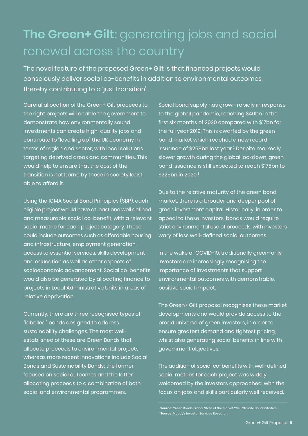# **The Green+ Gilt:** generating jobs and social renewal across the country

The novel feature of the proposed Green+ Gilt is that financed projects would consciously deliver social co-benefits in addition to environmental outcomes, thereby contributing to a 'just transition'.

Careful allocation of the Green+ Gilt proceeds to the right projects will enable the government to demonstrate how environmentally sound investments can create high-quality jobs and contribute to "levelling up" the UK economy in terms of region and sector, with local solutions targeting deprived areas and communities. This would help to ensure that the cost of the transition is not borne by those in society least able to afford it.

Using the ICMA Social Bond Principles (SBP), each eligible project would have at least one well defined and measurable social co-benefit, with a relevant social metric for each project category. These could include outcomes such as affordable housing and infrastructure, employment generation, access to essential services, skills development and education as well as other aspects of socioeconomic advancement. Social co-benefits would also be generated by allocating finance to projects in Local Administrative Units in areas of relative deprivation.

Currently, there are three recognised types of "labelled" bonds designed to address sustainability challenges. The most wellestablished of these are Green Bonds that allocate proceeds to environmental projects, whereas more recent innovations include Social Bonds and Sustainability Bonds; the former focused on social outcomes and the latter allocating proceeds to a combination of both social and environmental programmes.

Social bond supply has grown rapidly in response to the global pandemic, reaching \$40bn in the first six months of 2020 compared with \$17bn for the full year 2019. This is dwarfed by the green bond market which reached a new record issuance of \$258bn last year. <sup>2</sup> Despite markedly slower growth during the global lockdown, green bond issuance is still expected to reach \$175bn to \$225bn in 2020. 3

Due to the relative maturity of the green bond market, there is a broader and deeper pool of green investment capital. Historically, in order to appeal to these investors, bonds would require strict environmental use of proceeds, with investors wary of less well-defined social outcomes.

In the wake of COVID-19, traditionally green-only investors are increasingly recognising the importance of investments that support environmental outcomes with demonstrable, positive social impact.

The Green+ Gilt proposal recognises these market developments and would provide access to the broad universe of green investors, in order to ensure greatest demand and tightest pricing, whilst also generating social benefits in line with government objectives.

The addition of social co-benefits with well-defined social metrics for each project was widely welcomed by the investors approached, with the focus on jobs and skills particularly well received.

<sup>2</sup> **Source:** Green Bonds Global State of the Market 2019, Climate Bond Initiative. <sup>3</sup> **Source:** Moody's Investor Services Research.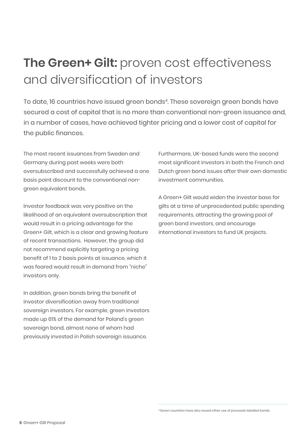# **The Green+ Gilt:** proven cost effectiveness and diversification of investors

To date, 16 countries have issued green bonds4. These sovereign green bonds have secured a cost of capital that is no more than conventional non-green issuance and, in a number of cases, have achieved tighter pricing and a lower cost of capital for the public finances.

The most recent issuances from Sweden and Germany during past weeks were both oversubscribed and successfully achieved a one basis point discount to the conventional nongreen equivalent bonds.

Investor feedback was very positive on the likelihood of an equivalent oversubscription that would result in a pricing advantage for the Green+ Gilt, which is a clear and growing feature of recent transactions. However, the group did not recommend explicitly targeting a pricing benefit of 1 to 2 basis points at issuance, which it was feared would result in demand from "niche" investors only.

In addition, green bonds bring the benefit of investor diversification away from traditional sovereign investors. For example, green investors made up 61% of the demand for Poland's green sovereign bond, almost none of whom had previously invested in Polish sovereign issuance.

Furthermore, UK-based funds were the second most significant investors in both the French and Dutch green bond issues after their own domestic investment communities.

A Green+ Gilt would widen the investor base for gilts at a time of unprecedented public spending requirements, attracting the growing pool of green bond investors, and encourage international investors to fund UK projects.

<sup>4</sup> Seven countries have also issued other use of proceeds labelled bonds.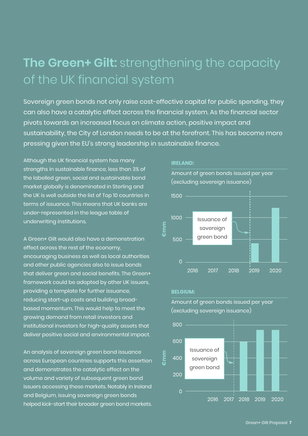## **The Green+ Gilt:** strengthening the capacity of the UK financial system

Sovereign green bonds not only raise cost-effective capital for public spending, they can also have a catalytic effect across the financial system. As the financial sector pivots towards an increased focus on climate action, positive impact and sustainability, the City of London needs to be at the forefront. This has become more pressing given the EU's strong leadership in sustainable finance.

Although the UK financial system has many strengths in sustainable finance, less than 3% of the labelled green, social and sustainable bond market globally is denominated in Sterling and the UK is well outside the list of Top 10 countries in terms of issuance. This means that UK banks are under-represented in the league table of underwriting institutions.

A Green+ Gilt would also have a demonstration effect across the rest of the economy, encouraging business as well as local authorities and other public agencies also to issue bonds that deliver green and social benefits. The Green+ framework could be adopted by other UK issuers, providing a template for further issuance, reducing start-up costs and building broadbased momentum. This would help to meet the growing demand from retail investors and institutional investors for high-quality assets that deliver positive social and environmental impact.

An analysis of sovereign green bond issuance across European countries supports this assertion and demonstrates the catalytic effect on the volume and variety of subsequent green bond issuers accessing these markets. Notably in Ireland and Belgium, issuing sovereign green bonds helped kick-start their broader green bond markets.

#### **IRELAND:**

Amount of green bonds issued per year (excluding sovereign issuance)



#### **BELGIUM:**



Amount of green bonds issued per year (excluding sovereign issuance)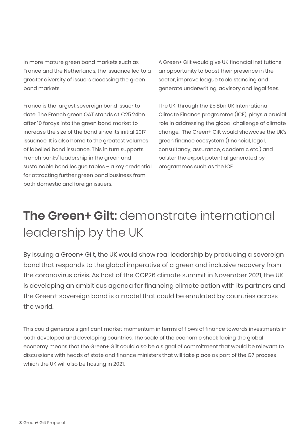In more mature green bond markets such as France and the Netherlands, the issuance led to a greater diversity of issuers accessing the green bond markets.

France is the largest sovereign bond issuer to date. The French green OAT stands at €25.24bn after 10 forays into the green bond market to increase the size of the bond since its initial 2017 issuance. It is also home to the greatest volumes of labelled bond issuance. This in turn supports French banks' leadership in the green and sustainable bond league tables – a key credential for attracting further green bond business from both domestic and foreign issuers.

A Green+ Gilt would give UK financial institutions an opportunity to boost their presence in the sector, improve league table standing and generate underwriting, advisory and legal fees.

The UK, through the £5.8bn UK International Climate Finance programme (ICF), plays a crucial role in addressing the global challenge of climate change. The Green+ Gilt would showcase the UK's green finance ecosystem (financial, legal, consultancy, assurance, academic etc.) and bolster the export potential generated by programmes such as the ICF.

# **The Green+ Gilt:** demonstrate international leadership by the UK

By issuing a Green+ Gilt, the UK would show real leadership by producing a sovereign bond that responds to the global imperative of a green and inclusive recovery from the coronavirus crisis. As host of the COP26 climate summit in November 2021, the UK is developing an ambitious agenda for financing climate action with its partners and the Green+ sovereign bond is a model that could be emulated by countries across the world.

This could generate significant market momentum in terms of flows of finance towards investments in both developed and developing countries. The scale of the economic shock facing the global economy means that the Green+ Gilt could also be a signal of commitment that would be relevant to discussions with heads of state and finance ministers that will take place as part of the G7 process which the UK will also be hosting in 2021.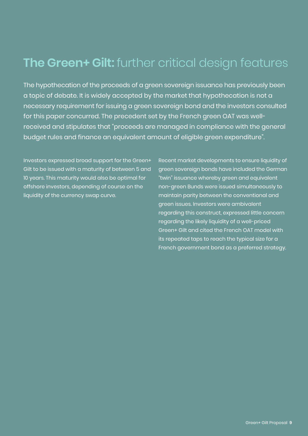### **The Green+ Gilt:** further critical design features

The hypothecation of the proceeds of a green sovereign issuance has previously been a topic of debate. It is widely accepted by the market that hypothecation is not a necessary requirement for issuing a green sovereign bond and the investors consulted for this paper concurred. The precedent set by the French green OAT was wellreceived and stipulates that "proceeds are managed in compliance with the general budget rules and finance an equivalent amount of eligible green expenditure".

Investors expressed broad support for the Green+ Gilt to be issued with a maturity of between 5 and 10 years. This maturity would also be optimal for offshore investors, depending of course on the liquidity of the currency swap curve.

Recent market developments to ensure liquidity of green sovereign bonds have included the German "twin" issuance whereby green and equivalent non-green Bunds were issued simultaneously to maintain parity between the conventional and green issues. Investors were ambivalent regarding this construct, expressed little concern regarding the likely liquidity of a well-priced Green+ Gilt and cited the French OAT model with its repeated taps to reach the typical size for a French government bond as a preferred strategy.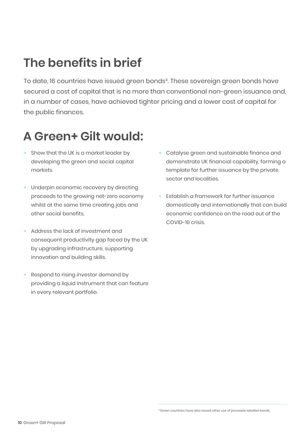## **The benefits in brief**

To date, 16 countries have issued green bonds<sup>4</sup>. These sovereign green bonds have secured a cost of capital that is no more than conventional non-green issuance and, in a number of cases, have achieved tighter pricing and a lower cost of capital for the public finances.

## **A Green+ Gilt would:**

- Show that the UK is a market leader by developing the green and social capital markets.
- Underpin economic recovery by directing proceeds to the growing net-zero economy whilst at the same time creating jobs and other social benefits.
- Address the lack of investment and consequent productivity gap faced by the UK by upgrading infrastructure, supporting innovation and building skills.
- Respond to rising investor demand by providing a liquid instrument that can feature in every relevant portfolio.
- Catalyse green and sustainable finance and demonstrate UK financial capability, forming a template for further issuance by the private sector and localities.
- Establish a framework for further issuance domestically and internationally that can build economic confidence on the road out of the COVID-19 crisis.

<sup>4</sup> Seven countries have also issued other use of proceeds labelled bonds.